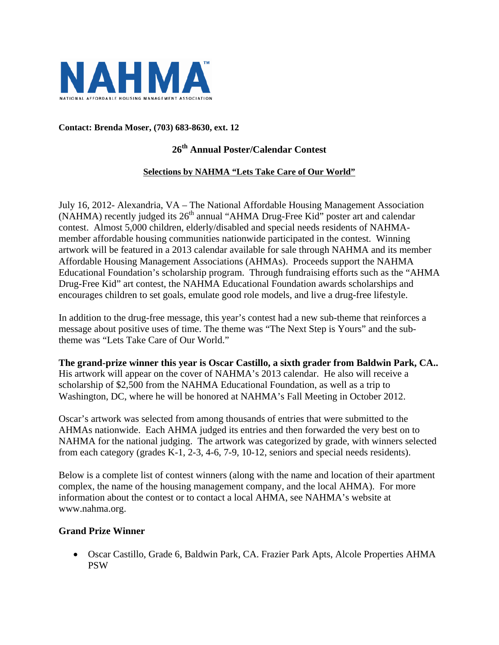

### **Contact: Brenda Moser, (703) 683-8630, ext. 12**

## **26th Annual Poster/Calendar Contest**

#### **Selections by NAHMA "Lets Take Care of Our World"**

July 16, 2012- Alexandria, VA – The National Affordable Housing Management Association  $(NAHMA)$  recently judged its  $26<sup>th</sup>$  annual "AHMA Drug-Free Kid" poster art and calendar contest. Almost 5,000 children, elderly/disabled and special needs residents of NAHMAmember affordable housing communities nationwide participated in the contest. Winning artwork will be featured in a 2013 calendar available for sale through NAHMA and its member Affordable Housing Management Associations (AHMAs). Proceeds support the NAHMA Educational Foundation's scholarship program. Through fundraising efforts such as the "AHMA Drug-Free Kid" art contest, the NAHMA Educational Foundation awards scholarships and encourages children to set goals, emulate good role models, and live a drug-free lifestyle.

In addition to the drug-free message, this year's contest had a new sub-theme that reinforces a message about positive uses of time. The theme was "The Next Step is Yours" and the subtheme was "Lets Take Care of Our World."

**The grand-prize winner this year is Oscar Castillo, a sixth grader from Baldwin Park, CA..** His artwork will appear on the cover of NAHMA's 2013 calendar. He also will receive a scholarship of \$2,500 from the NAHMA Educational Foundation, as well as a trip to Washington, DC, where he will be honored at NAHMA's Fall Meeting in October 2012.

Oscar's artwork was selected from among thousands of entries that were submitted to the AHMAs nationwide. Each AHMA judged its entries and then forwarded the very best on to NAHMA for the national judging. The artwork was categorized by grade, with winners selected from each category (grades K-1, 2-3, 4-6, 7-9, 10-12, seniors and special needs residents).

Below is a complete list of contest winners (along with the name and location of their apartment complex, the name of the housing management company, and the local AHMA). For more information about the contest or to contact a local AHMA, see NAHMA's website at www.nahma.org.

### **Grand Prize Winner**

 Oscar Castillo, Grade 6, Baldwin Park, CA. Frazier Park Apts, Alcole Properties AHMA PSW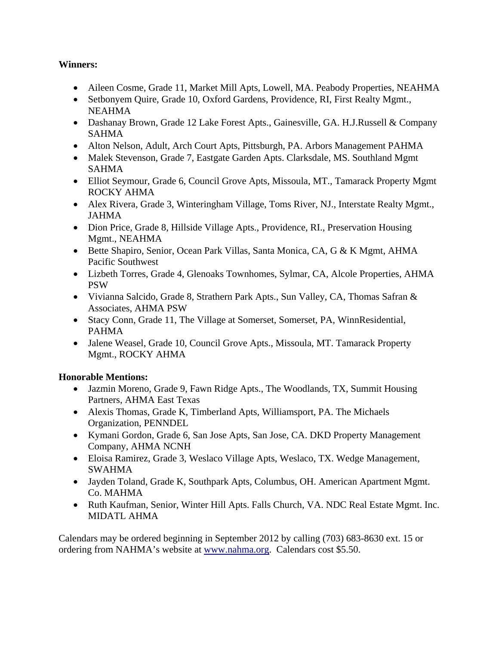# **Winners:**

- Aileen Cosme, Grade 11, Market Mill Apts, Lowell, MA. Peabody Properties, NEAHMA
- Setbonyem Quire, Grade 10, Oxford Gardens, Providence, RI, First Realty Mgmt., NEAHMA
- Dashanay Brown, Grade 12 Lake Forest Apts., Gainesville, GA. H.J.Russell & Company SAHMA
- Alton Nelson, Adult, Arch Court Apts, Pittsburgh, PA. Arbors Management PAHMA
- Malek Stevenson, Grade 7, Eastgate Garden Apts. Clarksdale, MS. Southland Mgmt SAHMA
- Elliot Seymour, Grade 6, Council Grove Apts, Missoula, MT., Tamarack Property Mgmt ROCKY AHMA
- Alex Rivera, Grade 3, Winteringham Village, Toms River, NJ., Interstate Realty Mgmt., JAHMA
- Dion Price, Grade 8, Hillside Village Apts., Providence, RI., Preservation Housing Mgmt., NEAHMA
- Bette Shapiro, Senior, Ocean Park Villas, Santa Monica, CA, G & K Mgmt, AHMA Pacific Southwest
- Lizbeth Torres, Grade 4, Glenoaks Townhomes, Sylmar, CA, Alcole Properties, AHMA PSW
- Vivianna Salcido, Grade 8, Strathern Park Apts., Sun Valley, CA, Thomas Safran & Associates, AHMA PSW
- Stacy Conn, Grade 11, The Village at Somerset, Somerset, PA, WinnResidential, PAHMA
- Jalene Weasel, Grade 10, Council Grove Apts., Missoula, MT. Tamarack Property Mgmt., ROCKY AHMA

# **Honorable Mentions:**

- Jazmin Moreno, Grade 9, Fawn Ridge Apts., The Woodlands, TX, Summit Housing Partners, AHMA East Texas
- Alexis Thomas, Grade K, Timberland Apts, Williamsport, PA. The Michaels Organization, PENNDEL
- Kymani Gordon, Grade 6, San Jose Apts, San Jose, CA. DKD Property Management Company, AHMA NCNH
- Eloisa Ramirez, Grade 3, Weslaco Village Apts, Weslaco, TX. Wedge Management, SWAHMA
- Jayden Toland, Grade K, Southpark Apts, Columbus, OH. American Apartment Mgmt. Co. MAHMA
- Ruth Kaufman, Senior, Winter Hill Apts. Falls Church, VA. NDC Real Estate Mgmt. Inc. MIDATL AHMA

Calendars may be ordered beginning in September 2012 by calling (703) 683-8630 ext. 15 or ordering from NAHMA's website at www.nahma.org. Calendars cost \$5.50.